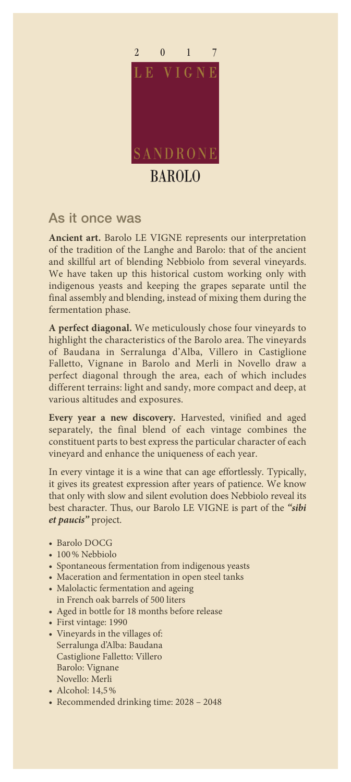

## As it once was

**Ancient art.** Barolo LE VIGNE represents our interpretation of the tradition of the Langhe and Barolo: that of the ancient and skillful art of blending Nebbiolo from several vineyards. We have taken up this historical custom working only with indigenous yeasts and keeping the grapes separate until the final assembly and blending, instead of mixing them during the fermentation phase.

**A perfect diagonal.** We meticulously chose four vineyards to highlight the characteristics of the Barolo area. The vineyards of Baudana in Serralunga d'Alba, Villero in Castiglione Falletto, Vignane in Barolo and Merli in Novello draw a perfect diagonal through the area, each of which includes different terrains: light and sandy, more compact and deep, at various altitudes and exposures.

**Every year a new discovery.** Harvested, vinified and aged separately, the final blend of each vintage combines the constituent parts to best express the particular character of each vineyard and enhance the uniqueness of each year.

In every vintage it is a wine that can age effortlessly. Typically, it gives its greatest expression after years of patience. We know that only with slow and silent evolution does Nebbiolo reveal its best character. Thus, our Barolo LE VIGNE is part of the *"sibi et paucis"* project.

- Barolo DOCG
- 100% Nebbiolo
- Spontaneous fermentation from indigenous yeasts
- Maceration and fermentation in open steel tanks
- Malolactic fermentation and ageing in French oak barrels of 500 liters
- Aged in bottle for 18 months before release
- First vintage: 1990
- Vineyards in the villages of: Serralunga d'Alba: Baudana Castiglione Falletto: Villero Barolo: Vignane Novello: Merli
- Alcohol: 14,5%
- Recommended drinking time: 2028 2048